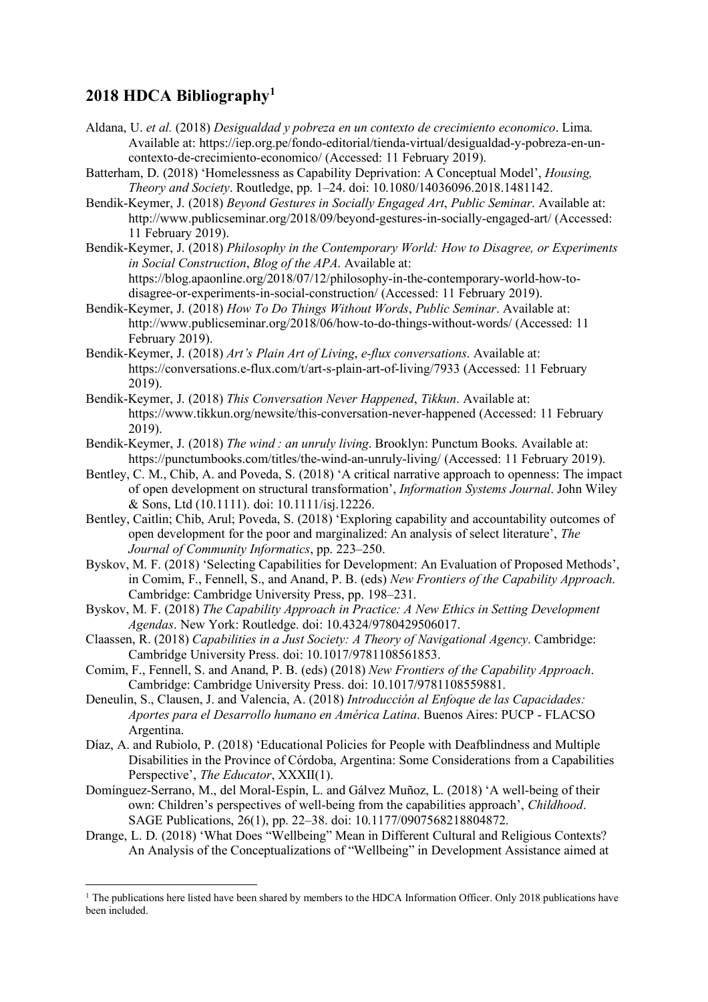## **2018 HDCA Bibliography1**

 $\overline{a}$ 

- Aldana, U. *et al.* (2018) *Desigualdad y pobreza en un contexto de crecimiento economico*. Lima. Available at: https://iep.org.pe/fondo-editorial/tienda-virtual/desigualdad-y-pobreza-en-uncontexto-de-crecimiento-economico/ (Accessed: 11 February 2019).
- Batterham, D. (2018) 'Homelessness as Capability Deprivation: A Conceptual Model', *Housing, Theory and Society*. Routledge, pp. 1–24. doi: 10.1080/14036096.2018.1481142.
- Bendik-Keymer, J. (2018) *Beyond Gestures in Socially Engaged Art*, *Public Seminar*. Available at: http://www.publicseminar.org/2018/09/beyond-gestures-in-socially-engaged-art/ (Accessed: 11 February 2019).
- Bendik-Keymer, J. (2018) *Philosophy in the Contemporary World: How to Disagree, or Experiments in Social Construction*, *Blog of the APA*. Available at: https://blog.apaonline.org/2018/07/12/philosophy-in-the-contemporary-world-how-to-

disagree-or-experiments-in-social-construction/ (Accessed: 11 February 2019).

- Bendik-Keymer, J. (2018) *How To Do Things Without Words*, *Public Seminar*. Available at: http://www.publicseminar.org/2018/06/how-to-do-things-without-words/ (Accessed: 11 February 2019).
- Bendik-Keymer, J. (2018) *Art's Plain Art of Living*, *e-flux conversations*. Available at: https://conversations.e-flux.com/t/art-s-plain-art-of-living/7933 (Accessed: 11 February 2019).
- Bendik-Keymer, J. (2018) *This Conversation Never Happened*, *Tikkun*. Available at: https://www.tikkun.org/newsite/this-conversation-never-happened (Accessed: 11 February 2019).
- Bendik-Keymer, J. (2018) *The wind : an unruly living*. Brooklyn: Punctum Books. Available at: https://punctumbooks.com/titles/the-wind-an-unruly-living/ (Accessed: 11 February 2019).
- Bentley, C. M., Chib, A. and Poveda, S. (2018) 'A critical narrative approach to openness: The impact of open development on structural transformation', *Information Systems Journal*. John Wiley & Sons, Ltd (10.1111). doi: 10.1111/isj.12226.
- Bentley, Caitlin; Chib, Arul; Poveda, S. (2018) 'Exploring capability and accountability outcomes of open development for the poor and marginalized: An analysis of select literature', *The Journal of Community Informatics*, pp. 223–250.
- Byskov, M. F. (2018) 'Selecting Capabilities for Development: An Evaluation of Proposed Methods', in Comim, F., Fennell, S., and Anand, P. B. (eds) *New Frontiers of the Capability Approach*. Cambridge: Cambridge University Press, pp. 198–231.
- Byskov, M. F. (2018) *The Capability Approach in Practice: A New Ethics in Setting Development Agendas*. New York: Routledge. doi: 10.4324/9780429506017.
- Claassen, R. (2018) *Capabilities in a Just Society: A Theory of Navigational Agency*. Cambridge: Cambridge University Press. doi: 10.1017/9781108561853.
- Comim, F., Fennell, S. and Anand, P. B. (eds) (2018) *New Frontiers of the Capability Approach*. Cambridge: Cambridge University Press. doi: 10.1017/9781108559881.
- Deneulin, S., Clausen, J. and Valencia, A. (2018) *Introducción al Enfoque de las Capacidades: Aportes para el Desarrollo humano en América Latina*. Buenos Aires: PUCP - FLACSO Argentina.
- Díaz, A. and Rubiolo, P. (2018) 'Educational Policies for People with Deafblindness and Multiple Disabilities in the Province of Córdoba, Argentina: Some Considerations from a Capabilities Perspective', *The Educator*, XXXII(1).
- Domínguez-Serrano, M., del Moral-Espín, L. and Gálvez Muñoz, L. (2018) 'A well-being of their own: Children's perspectives of well-being from the capabilities approach', *Childhood*. SAGE Publications, 26(1), pp. 22–38. doi: 10.1177/0907568218804872.
- Drange, L. D. (2018) 'What Does "Wellbeing" Mean in Different Cultural and Religious Contexts? An Analysis of the Conceptualizations of "Wellbeing" in Development Assistance aimed at

<sup>&</sup>lt;sup>1</sup> The publications here listed have been shared by members to the HDCA Information Officer. Only 2018 publications have been included.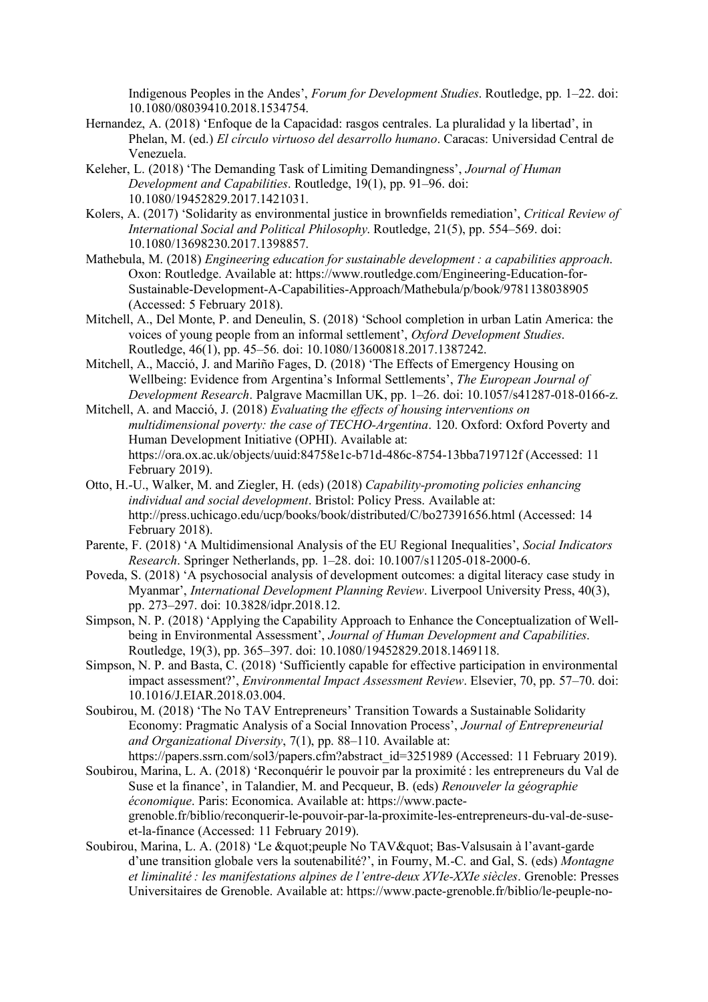Indigenous Peoples in the Andes', *Forum for Development Studies*. Routledge, pp. 1–22. doi: 10.1080/08039410.2018.1534754.

- Hernandez, A. (2018) 'Enfoque de la Capacidad: rasgos centrales. La pluralidad y la libertad', in Phelan, M. (ed.) *El círculo virtuoso del desarrollo humano*. Caracas: Universidad Central de Venezuela.
- Keleher, L. (2018) 'The Demanding Task of Limiting Demandingness', *Journal of Human Development and Capabilities*. Routledge, 19(1), pp. 91–96. doi: 10.1080/19452829.2017.1421031.
- Kolers, A. (2017) 'Solidarity as environmental justice in brownfields remediation', *Critical Review of International Social and Political Philosophy*. Routledge, 21(5), pp. 554–569. doi: 10.1080/13698230.2017.1398857.
- Mathebula, M. (2018) *Engineering education for sustainable development : a capabilities approach*. Oxon: Routledge. Available at: https://www.routledge.com/Engineering-Education-for-Sustainable-Development-A-Capabilities-Approach/Mathebula/p/book/9781138038905 (Accessed: 5 February 2018).
- Mitchell, A., Del Monte, P. and Deneulin, S. (2018) 'School completion in urban Latin America: the voices of young people from an informal settlement', *Oxford Development Studies*. Routledge, 46(1), pp. 45–56. doi: 10.1080/13600818.2017.1387242.
- Mitchell, A., Macció, J. and Mariño Fages, D. (2018) 'The Effects of Emergency Housing on Wellbeing: Evidence from Argentina's Informal Settlements', *The European Journal of Development Research*. Palgrave Macmillan UK, pp. 1–26. doi: 10.1057/s41287-018-0166-z.
- Mitchell, A. and Macció, J. (2018) *Evaluating the effects of housing interventions on multidimensional poverty: the case of TECHO-Argentina*. 120. Oxford: Oxford Poverty and Human Development Initiative (OPHI). Available at: https://ora.ox.ac.uk/objects/uuid:84758e1c-b71d-486c-8754-13bba719712f (Accessed: 11 February 2019).
- Otto, H.-U., Walker, M. and Ziegler, H. (eds) (2018) *Capability-promoting policies enhancing individual and social development*. Bristol: Policy Press. Available at: http://press.uchicago.edu/ucp/books/book/distributed/C/bo27391656.html (Accessed: 14 February 2018).
- Parente, F. (2018) 'A Multidimensional Analysis of the EU Regional Inequalities', *Social Indicators Research*. Springer Netherlands, pp. 1–28. doi: 10.1007/s11205-018-2000-6.
- Poveda, S. (2018) 'A psychosocial analysis of development outcomes: a digital literacy case study in Myanmar', *International Development Planning Review*. Liverpool University Press, 40(3), pp. 273–297. doi: 10.3828/idpr.2018.12.
- Simpson, N. P. (2018) 'Applying the Capability Approach to Enhance the Conceptualization of Wellbeing in Environmental Assessment', *Journal of Human Development and Capabilities*. Routledge, 19(3), pp. 365–397. doi: 10.1080/19452829.2018.1469118.
- Simpson, N. P. and Basta, C. (2018) 'Sufficiently capable for effective participation in environmental impact assessment?', *Environmental Impact Assessment Review*. Elsevier, 70, pp. 57–70. doi: 10.1016/J.EIAR.2018.03.004.
- Soubirou, M. (2018) 'The No TAV Entrepreneurs' Transition Towards a Sustainable Solidarity Economy: Pragmatic Analysis of a Social Innovation Process', *Journal of Entrepreneurial and Organizational Diversity*, 7(1), pp. 88–110. Available at: https://papers.ssrn.com/sol3/papers.cfm?abstract\_id=3251989 (Accessed: 11 February 2019).
- Soubirou, Marina, L. A. (2018) 'Reconquérir le pouvoir par la proximité : les entrepreneurs du Val de Suse et la finance', in Talandier, M. and Pecqueur, B. (eds) *Renouveler la géographie économique*. Paris: Economica. Available at: https://www.pactegrenoble.fr/biblio/reconquerir-le-pouvoir-par-la-proximite-les-entrepreneurs-du-val-de-suseet-la-finance (Accessed: 11 February 2019).
- Soubirou, Marina, L. A. (2018) 'Le " peuple No TAV" Bas-Valsusain à l'avant-garde d'une transition globale vers la soutenabilité?', in Fourny, M.-C. and Gal, S. (eds) *Montagne et liminalité : les manifestations alpines de l'entre-deux XVIe-XXIe siècles*. Grenoble: Presses Universitaires de Grenoble. Available at: https://www.pacte-grenoble.fr/biblio/le-peuple-no-